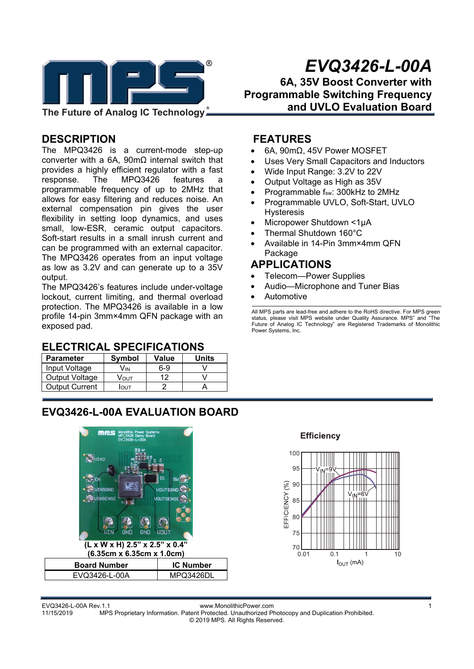

## **DESCRIPTION**

The MPQ3426 is a current-mode step-up converter with a 6A, 90mΩ internal switch that provides a highly efficient regulator with a fast response. The MPQ3426 features a programmable frequency of up to 2MHz that allows for easy filtering and reduces noise. An external compensation pin gives the user flexibility in setting loop dynamics, and uses small, low-ESR, ceramic output capacitors. Soft-start results in a small inrush current and can be programmed with an external capacitor. The MPQ3426 operates from an input voltage as low as 3.2V and can generate up to a 35V output.

The MPQ3426's features include under-voltage lockout, current limiting, and thermal overload protection. The MPQ3426 is available in a low profile 14-pin 3mm×4mm QFN package with an exposed pad.

### **ELECTRICAL SPECIFICATIONS**

| <b>Parameter</b>      | Symbol | Value | <b>Units</b> |
|-----------------------|--------|-------|--------------|
| Input Voltage         | Vіn    | $6-9$ |              |
| Output Voltage        | Vουτ   | 12    |              |
| <b>Output Current</b> | IOUT   |       |              |

#### **FEATURES**

- 6A, 90mΩ, 45V Power MOSFET
- Uses Very Small Capacitors and Inductors

**Programmable Switching Frequency** 

**6A, 35V Boost Converter with** 

**and UVLO Evaluation Board** 

- Wide Input Range: 3.2V to 22V
- Output Voltage as High as 35V
- Programmable fsw: 300kHz to 2MHz
- Programmable UVLO, Soft-Start, UVLO Hysteresis
- Micropower Shutdown <1μA
- Thermal Shutdown 160°C
- Available in 14-Pin 3mm×4mm QFN Package

### **APPLICATIONS**

- Telecom—Power Supplies
- Audio—Microphone and Tuner Bias
- Automotive

All MPS parts are lead-free and adhere to the RoHS directive. For MPS green status, please visit MPS website under Quality Assurance. MPS" and "The Future of Analog IC Technology" are Registered Trademarks of Monolithic Power Systems, Inc.

## **EVQ3426-L-00A EVALUATION BOARD**

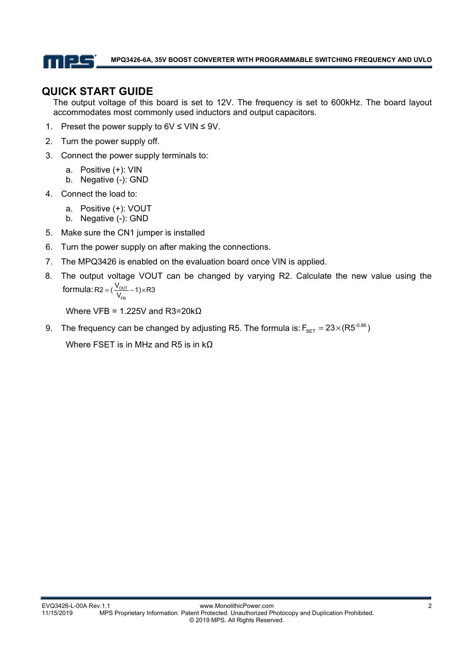

## **QUICK START GUIDE**

The output voltage of this board is set to 12V. The frequency is set to 600kHz. The board layout accommodates most commonly used inductors and output capacitors.

- 1. Preset the power supply to  $6V \leq$  VIN  $\leq 9V$ .
- 2. Turn the power supply off.
- 3. Connect the power supply terminals to:
	- a. Positive (+): VIN
	- b. Negative (-): GND
- 4. Connect the load to:
	- a. Positive (+): VOUT
	- b. Negative (-): GND
- 5. Make sure the CN1 jumper is installed
- 6. Turn the power supply on after making the connections.
- 7. The MPQ3426 is enabled on the evaluation board once VIN is applied.
- 8. The output voltage VOUT can be changed by varying R2. Calculate the new value using the formula: R2 =  $(\frac{v_{\text{OUT}}}{v})$  $R2 = (\frac{V_{\text{OUT}}}{V_{\text{FB}}} - 1) \times R3$

Where VFB = 1.225V and R3=20kΩ

9. The frequency can be changed by adjusting R5. The formula is:  $F_{\text{SET}} = 23 \times (R5^{-0.86})$ 

Where FSET is in MHz and R5 is in  $k\Omega$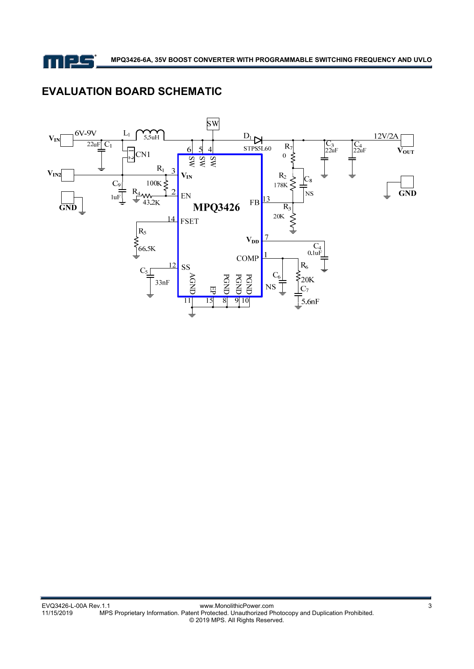

# **EVALUATION BOARD SCHEMATIC**

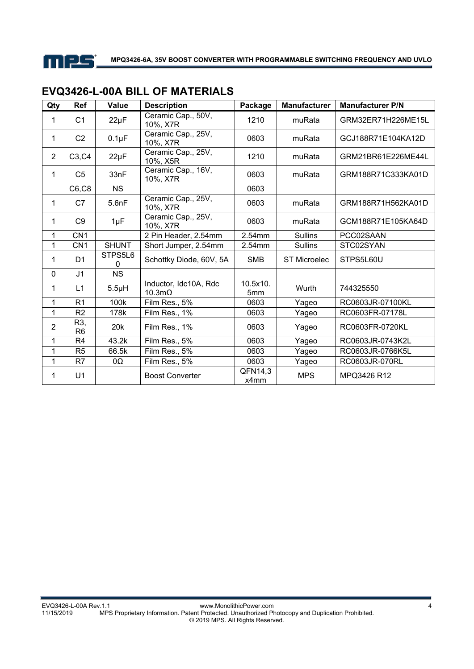

| Qty            | Ref                   | <b>Value</b> | <b>Description</b>                     | Package         | <b>Manufacturer</b> | <b>Manufacturer P/N</b> |
|----------------|-----------------------|--------------|----------------------------------------|-----------------|---------------------|-------------------------|
| 1              | C <sub>1</sub>        | $22\mu F$    | Ceramic Cap., 50V,<br>10%, X7R         | 1210            | muRata              | GRM32ER71H226ME15L      |
| 1              | C <sub>2</sub>        | $0.1\mu F$   | Ceramic Cap., 25V,<br>10%, X7R         | 0603            | muRata              | GCJ188R71E104KA12D      |
| $\overline{2}$ | C3, C4                | $22\mu F$    | Ceramic Cap., 25V,<br>10%, X5R         | 1210            | muRata              | GRM21BR61E226ME44L      |
| 1              | C <sub>5</sub>        | 33nF         | Ceramic Cap., 16V,<br>10%, X7R         | 0603            | muRata              | GRM188R71C333KA01D      |
|                | C6, C8                | <b>NS</b>    |                                        | 0603            |                     |                         |
| 1              | C7                    | 5.6nF        | Ceramic Cap., 25V,<br>10%, X7R         | 0603            | muRata              | GRM188R71H562KA01D      |
| 1              | C <sub>9</sub>        | $1\mu F$     | Ceramic Cap., 25V,<br>10%, X7R         | 0603            | muRata              | GCM188R71E105KA64D      |
| 1              | CN <sub>1</sub>       |              | 2 Pin Header, 2.54mm                   | 2.54mm          | <b>Sullins</b>      | PCC02SAAN               |
| $\mathbf{1}$   | CN <sub>1</sub>       | <b>SHUNT</b> | Short Jumper, 2.54mm                   | 2.54mm          | <b>Sullins</b>      | STC02SYAN               |
| 1              | D <sub>1</sub>        | STPS5L6<br>0 | Schottky Diode, 60V, 5A                | <b>SMB</b>      | <b>ST Microelec</b> | STPS5L60U               |
| $\Omega$       | J <sub>1</sub>        | <b>NS</b>    |                                        |                 |                     |                         |
| 1              | L1                    | $5.5\mu H$   | Inductor, Idc10A, Rdc<br>$10.3m\Omega$ | 10.5x10.<br>5mm | Wurth               | 744325550               |
| 1              | R <sub>1</sub>        | 100k         | Film Res., 5%                          | 0603            | Yageo               | RC0603JR-07100KL        |
| 1              | R <sub>2</sub>        | 178k         | Film Res., 1%                          | 0603            | Yageo               | RC0603FR-07178L         |
| $\overline{2}$ | R3,<br>R <sub>6</sub> | 20k          | Film Res., 1%                          | 0603            | Yageo               | RC0603FR-0720KL         |
| 1              | R <sub>4</sub>        | 43.2k        | Film Res., 5%                          | 0603            | Yageo               | RC0603JR-0743K2L        |
| 1              | R <sub>5</sub>        | 66.5k        | Film Res., 5%                          | 0603            | Yageo               | RC0603JR-0766K5L        |
| $\mathbf{1}$   | R7                    | 0Ω           | Film Res., 5%                          | 0603            | Yageo               | RC0603JR-070RL          |
| 1              | U <sub>1</sub>        |              | <b>Boost Converter</b>                 | QFN14,3<br>x4mm | <b>MPS</b>          | MPQ3426 R12             |

## **EVQ3426-L-00A BILL OF MATERIALS**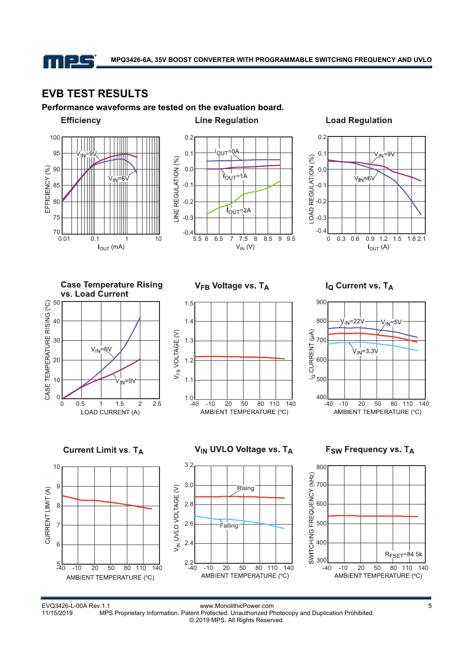

# **EVB TEST RESULTS**

**Performance waveforms are tested on the evaluation board.** 





#### **Load Regulation**



**Case Temperature Rising** vs Load Current



V<sub>FB</sub> Voltage vs. TA



I<sub>Q</sub> Current vs. TA



**Current Limit vs. TA** 



V<sub>IN</sub> UVLO Voltage vs. TA



#### F<sub>SW</sub> Frequency vs. TA



EVQ3426-L-00A Rev.1.1 www.MonolithicPower.com 5 MPS Proprietary Information. Patent Protected. Unauthorized Photocopy and Duplication Prohibited. © 2019 MPS. All Rights Reserved.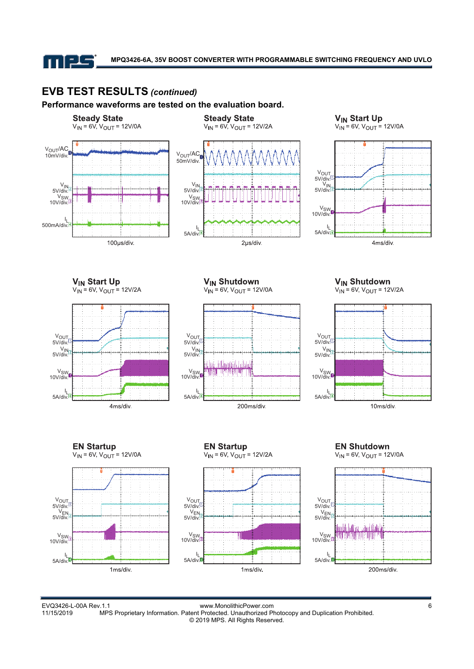

## **EVB TEST RESULTS** *(continued)*

#### **Performance waveforms are tested on the evaluation board.**



EVQ3426-L-00A Rev.1.1 www.MonolithicPower.com 6 MPS Proprietary Information. Patent Protected. Unauthorized Photocopy and Duplication Prohibited. © 2019 MPS. All Rights Reserved.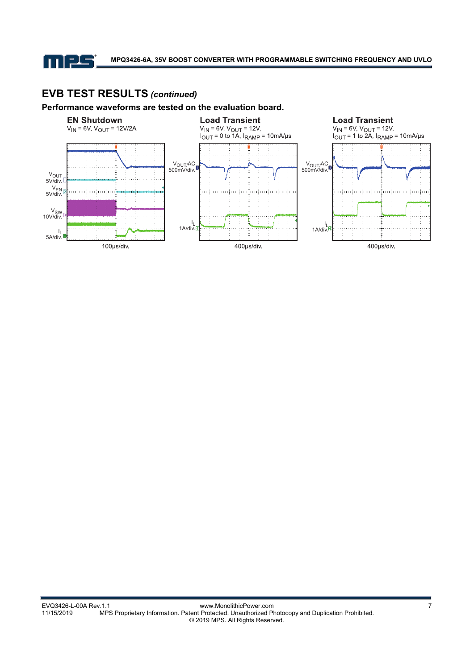

# **EVB TEST RESULTS** *(continued)*